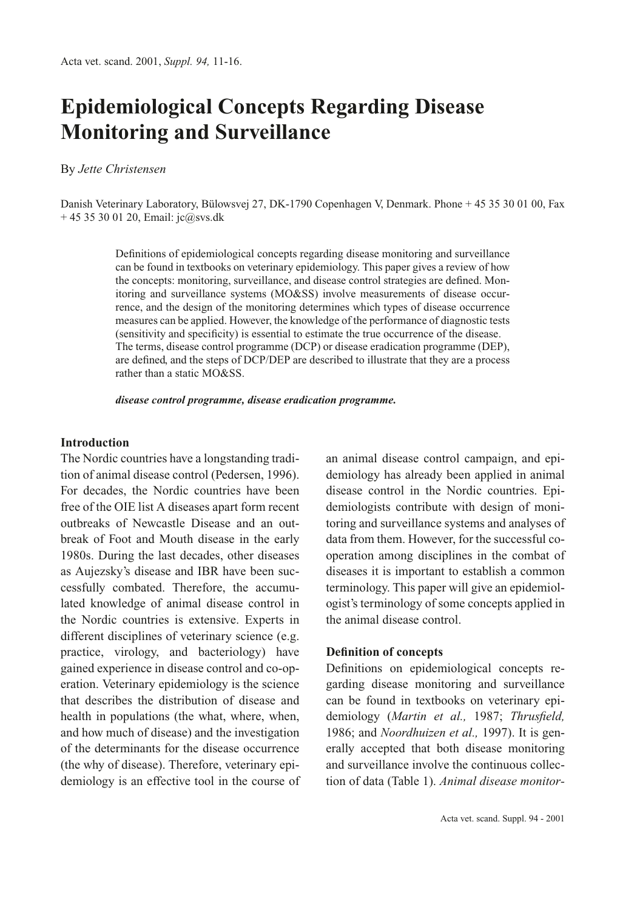# **Epidemiological Concepts Regarding Disease Monitoring and Surveillance**

#### By *Jette Christensen*

Danish Veterinary Laboratory, Bülowsvej 27, DK-1790 Copenhagen V, Denmark. Phone + 45 35 30 01 00, Fax  $+ 45$  35 30 01 20, Email: jc@svs.dk

> Definitions of epidemiological concepts regarding disease monitoring and surveillance can be found in textbooks on veterinary epidemiology. This paper gives a review of how the concepts: monitoring, surveillance, and disease control strategies are defined. Monitoring and surveillance systems (MO&SS) involve measurements of disease occurrence, and the design of the monitoring determines which types of disease occurrence measures can be applied. However, the knowledge of the performance of diagnostic tests (sensitivity and specificity) is essential to estimate the true occurrence of the disease. The terms, disease control programme (DCP) or disease eradication programme (DEP), are defined, and the steps of DCP/DEP are described to illustrate that they are a process rather than a static MO&SS.

*disease control programme, disease eradication programme.*

### **Introduction**

The Nordic countries have a longstanding tradition of animal disease control (Pedersen, 1996). For decades, the Nordic countries have been free of the OIE list A diseases apart form recent outbreaks of Newcastle Disease and an outbreak of Foot and Mouth disease in the early 1980s. During the last decades, other diseases as Aujezsky's disease and IBR have been successfully combated. Therefore, the accumulated knowledge of animal disease control in the Nordic countries is extensive. Experts in different disciplines of veterinary science (e.g. practice, virology, and bacteriology) have gained experience in disease control and co-operation. Veterinary epidemiology is the science that describes the distribution of disease and health in populations (the what, where, when, and how much of disease) and the investigation of the determinants for the disease occurrence (the why of disease). Therefore, veterinary epidemiology is an effective tool in the course of an animal disease control campaign, and epidemiology has already been applied in animal disease control in the Nordic countries. Epidemiologists contribute with design of monitoring and surveillance systems and analyses of data from them. However, for the successful cooperation among disciplines in the combat of diseases it is important to establish a common terminology. This paper will give an epidemiologist's terminology of some concepts applied in the animal disease control.

#### **Definition of concepts**

Definitions on epidemiological concepts regarding disease monitoring and surveillance can be found in textbooks on veterinary epidemiology (*Martin et al.,* 1987; *Thrusfield,* 1986; and *Noordhuizen et al.,* 1997). It is generally accepted that both disease monitoring and surveillance involve the continuous collection of data (Table 1). *Animal disease monitor-*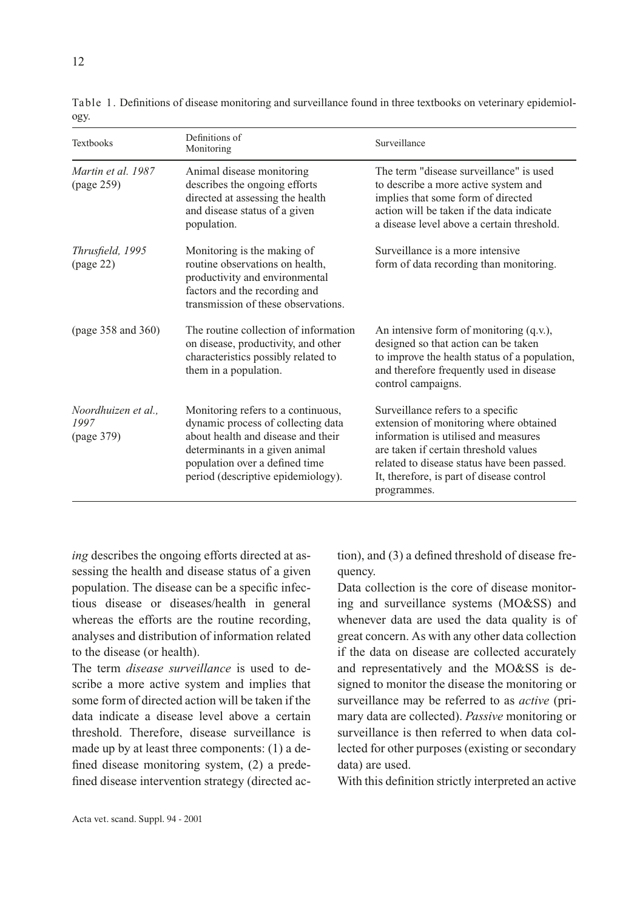| <b>Textbooks</b>                          | Definitions of<br>Monitoring                                                                                                                                                                                             | Surveillance                                                                                                                                                                                                                                                            |
|-------------------------------------------|--------------------------------------------------------------------------------------------------------------------------------------------------------------------------------------------------------------------------|-------------------------------------------------------------------------------------------------------------------------------------------------------------------------------------------------------------------------------------------------------------------------|
| Martin et al 1987<br>(page 259)           | Animal disease monitoring<br>describes the ongoing efforts<br>directed at assessing the health<br>and disease status of a given<br>population.                                                                           | The term "disease surveillance" is used<br>to describe a more active system and<br>implies that some form of directed<br>action will be taken if the data indicate<br>a disease level above a certain threshold.                                                        |
| Thrusfield, 1995<br>(page 22)             | Monitoring is the making of<br>routine observations on health,<br>productivity and environmental<br>factors and the recording and<br>transmission of these observations.                                                 | Surveillance is a more intensive<br>form of data recording than monitoring.                                                                                                                                                                                             |
| (page 358 and 360)                        | The routine collection of information<br>on disease, productivity, and other<br>characteristics possibly related to<br>them in a population.                                                                             | An intensive form of monitoring (q.v.),<br>designed so that action can be taken<br>to improve the health status of a population,<br>and therefore frequently used in disease<br>control campaigns.                                                                      |
| Noordhuizen et al.,<br>1997<br>(page 379) | Monitoring refers to a continuous,<br>dynamic process of collecting data<br>about health and disease and their<br>determinants in a given animal<br>population over a defined time<br>period (descriptive epidemiology). | Surveillance refers to a specific<br>extension of monitoring where obtained<br>information is utilised and measures<br>are taken if certain threshold values<br>related to disease status have been passed.<br>It, therefore, is part of disease control<br>programmes. |

Table 1. Definitions of disease monitoring and surveillance found in three textbooks on veterinary epidemiology.

*ing* describes the ongoing efforts directed at assessing the health and disease status of a given population. The disease can be a specific infectious disease or diseases/health in general whereas the efforts are the routine recording, analyses and distribution of information related to the disease (or health).

The term *disease surveillance* is used to describe a more active system and implies that some form of directed action will be taken if the data indicate a disease level above a certain threshold. Therefore, disease surveillance is made up by at least three components: (1) a defined disease monitoring system, (2) a predefined disease intervention strategy (directed ac-

Data collection is the core of disease monitoring and surveillance systems (MO&SS) and

quency.

whenever data are used the data quality is of great concern. As with any other data collection if the data on disease are collected accurately and representatively and the MO&SS is designed to monitor the disease the monitoring or surveillance may be referred to as *active* (primary data are collected). *Passive* monitoring or surveillance is then referred to when data collected for other purposes (existing or secondary data) are used.

tion), and (3) a defined threshold of disease fre-

With this definition strictly interpreted an active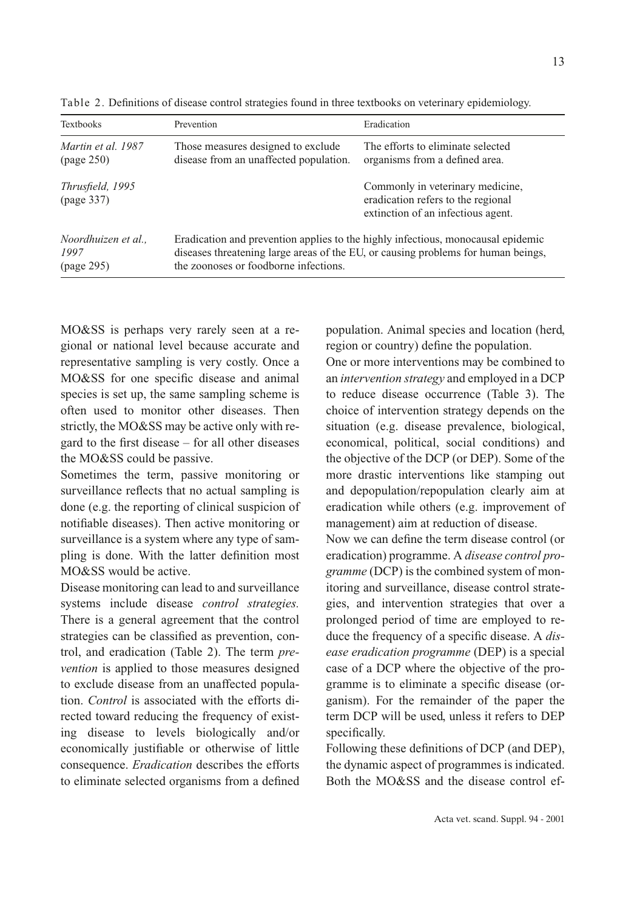| <b>Textbooks</b>                             | Prevention                                                                        | Eradication                                                                                                  |
|----------------------------------------------|-----------------------------------------------------------------------------------|--------------------------------------------------------------------------------------------------------------|
| Martin et al. 1987                           | Those measures designed to exclude                                                | The efforts to eliminate selected                                                                            |
| $\left( \text{page } 250 \right)$            | disease from an unaffected population.                                            | organisms from a defined area.                                                                               |
| Thrusfield, 1995<br>$\frac{1}{2}$ (page 337) |                                                                                   | Commonly in veterinary medicine,<br>eradication refers to the regional<br>extinction of an infectious agent. |
| Noordhuizen et al.,                          | Eradication and prevention applies to the highly infectious, monocausal epidemic  |                                                                                                              |
| 1997                                         | diseases threatening large areas of the EU, or causing problems for human beings, |                                                                                                              |
| (page 295)                                   | the zoonoses or foodborne infections.                                             |                                                                                                              |

Table 2. Definitions of disease control strategies found in three textbooks on veterinary epidemiology.

MO&SS is perhaps very rarely seen at a regional or national level because accurate and representative sampling is very costly. Once a MO&SS for one specific disease and animal species is set up, the same sampling scheme is often used to monitor other diseases. Then strictly, the MO&SS may be active only with regard to the first disease – for all other diseases the MO&SS could be passive.

Sometimes the term, passive monitoring or surveillance reflects that no actual sampling is done (e.g. the reporting of clinical suspicion of notifiable diseases). Then active monitoring or surveillance is a system where any type of sampling is done. With the latter definition most MO&SS would be active.

Disease monitoring can lead to and surveillance systems include disease *control strategies.* There is a general agreement that the control strategies can be classified as prevention, control, and eradication (Table 2). The term *prevention* is applied to those measures designed to exclude disease from an unaffected population. *Control* is associated with the efforts directed toward reducing the frequency of existing disease to levels biologically and/or economically justifiable or otherwise of little consequence. *Eradication* describes the efforts to eliminate selected organisms from a defined population. Animal species and location (herd, region or country) define the population. One or more interventions may be combined to an *intervention strategy* and employed in a DCP to reduce disease occurrence (Table 3). The choice of intervention strategy depends on the situation (e.g. disease prevalence, biological, economical, political, social conditions) and the objective of the DCP (or DEP). Some of the more drastic interventions like stamping out and depopulation/repopulation clearly aim at eradication while others (e.g. improvement of management) aim at reduction of disease.

Now we can define the term disease control (or eradication) programme. A *disease control programme* (DCP) is the combined system of monitoring and surveillance, disease control strategies, and intervention strategies that over a prolonged period of time are employed to reduce the frequency of a specific disease. A *disease eradication programme* (DEP) is a special case of a DCP where the objective of the programme is to eliminate a specific disease (organism). For the remainder of the paper the term DCP will be used, unless it refers to DEP specifically.

Following these definitions of DCP (and DEP), the dynamic aspect of programmes is indicated. Both the MO&SS and the disease control ef-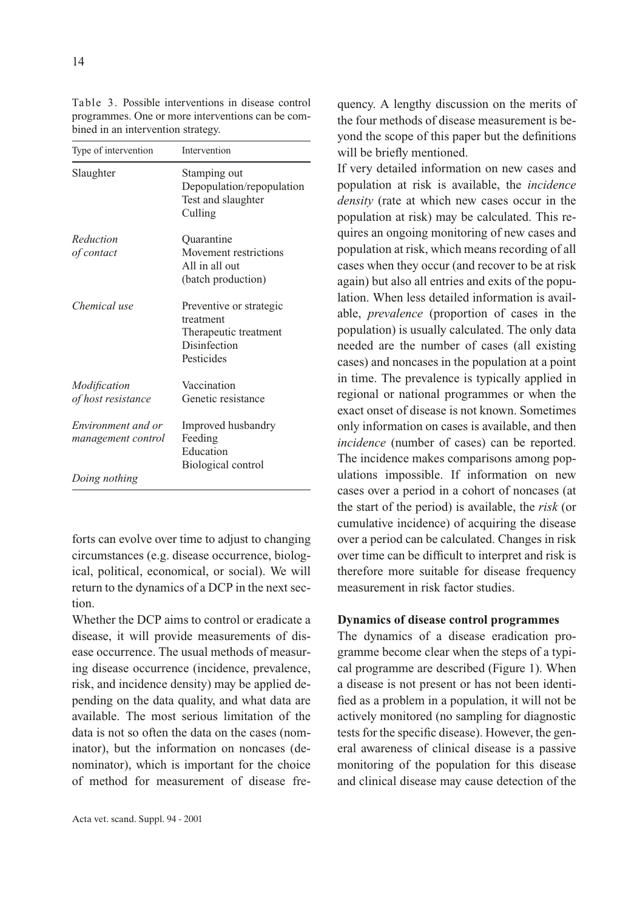Table 3. Possible interventions in disease control programmes. One or more interventions can be combined in an intervention strategy.

| Type of intervention                     | Intervention                                                                                |
|------------------------------------------|---------------------------------------------------------------------------------------------|
| Slaughter                                | Stamping out<br>Depopulation/repopulation<br>Test and slaughter<br>Culling                  |
| Reduction<br>of contact                  | Quarantine<br>Movement restrictions<br>All in all out<br>(batch production)                 |
| Chemical use                             | Preventive or strategic<br>treatment<br>Therapeutic treatment<br>Disinfection<br>Pesticides |
| Modification<br>of host resistance       | Vaccination<br>Genetic resistance                                                           |
| Environment and or<br>management control | Improved husbandry<br>Feeding<br>Education<br>Biological control                            |
| Doing nothing                            |                                                                                             |

forts can evolve over time to adjust to changing circumstances (e.g. disease occurrence, biological, political, economical, or social). We will return to the dynamics of a DCP in the next section.

Whether the DCP aims to control or eradicate a disease, it will provide measurements of disease occurrence. The usual methods of measuring disease occurrence (incidence, prevalence, risk, and incidence density) may be applied depending on the data quality, and what data are available. The most serious limitation of the data is not so often the data on the cases (nominator), but the information on noncases (denominator), which is important for the choice of method for measurement of disease frequency. A lengthy discussion on the merits of the four methods of disease measurement is beyond the scope of this paper but the definitions will be briefly mentioned.

If very detailed information on new cases and population at risk is available, the *incidence density* (rate at which new cases occur in the population at risk) may be calculated. This requires an ongoing monitoring of new cases and population at risk, which means recording of all cases when they occur (and recover to be at risk again) but also all entries and exits of the population. When less detailed information is available, *prevalence* (proportion of cases in the population) is usually calculated. The only data needed are the number of cases (all existing cases) and noncases in the population at a point in time. The prevalence is typically applied in regional or national programmes or when the exact onset of disease is not known. Sometimes only information on cases is available, and then *incidence* (number of cases) can be reported. The incidence makes comparisons among populations impossible. If information on new cases over a period in a cohort of noncases (at the start of the period) is available, the *risk* (or cumulative incidence) of acquiring the disease over a period can be calculated. Changes in risk over time can be difficult to interpret and risk is therefore more suitable for disease frequency measurement in risk factor studies.

## **Dynamics of disease control programmes**

The dynamics of a disease eradication programme become clear when the steps of a typical programme are described (Figure 1). When a disease is not present or has not been identified as a problem in a population, it will not be actively monitored (no sampling for diagnostic tests for the specific disease). However, the general awareness of clinical disease is a passive monitoring of the population for this disease and clinical disease may cause detection of the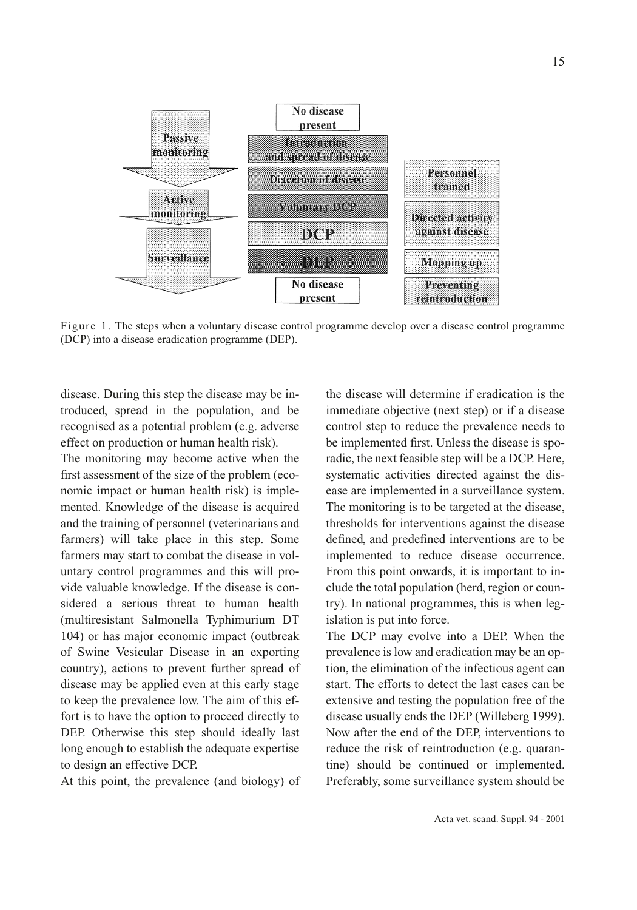

Figure 1. The steps when a voluntary disease control programme develop over a disease control programme (DCP) into a disease eradication programme (DEP).

disease. During this step the disease may be introduced, spread in the population, and be recognised as a potential problem (e.g. adverse effect on production or human health risk).

The monitoring may become active when the first assessment of the size of the problem (economic impact or human health risk) is implemented. Knowledge of the disease is acquired and the training of personnel (veterinarians and farmers) will take place in this step. Some farmers may start to combat the disease in voluntary control programmes and this will provide valuable knowledge. If the disease is considered a serious threat to human health (multiresistant Salmonella Typhimurium DT 104) or has major economic impact (outbreak of Swine Vesicular Disease in an exporting country), actions to prevent further spread of disease may be applied even at this early stage to keep the prevalence low. The aim of this effort is to have the option to proceed directly to DEP. Otherwise this step should ideally last long enough to establish the adequate expertise to design an effective DCP.

At this point, the prevalence (and biology) of

the disease will determine if eradication is the immediate objective (next step) or if a disease control step to reduce the prevalence needs to be implemented first. Unless the disease is sporadic, the next feasible step will be a DCP. Here, systematic activities directed against the disease are implemented in a surveillance system. The monitoring is to be targeted at the disease, thresholds for interventions against the disease defined, and predefined interventions are to be implemented to reduce disease occurrence. From this point onwards, it is important to include the total population (herd, region or country). In national programmes, this is when legislation is put into force.

The DCP may evolve into a DEP. When the prevalence is low and eradication may be an option, the elimination of the infectious agent can start. The efforts to detect the last cases can be extensive and testing the population free of the disease usually ends the DEP (Willeberg 1999). Now after the end of the DEP, interventions to reduce the risk of reintroduction (e.g. quarantine) should be continued or implemented. Preferably, some surveillance system should be